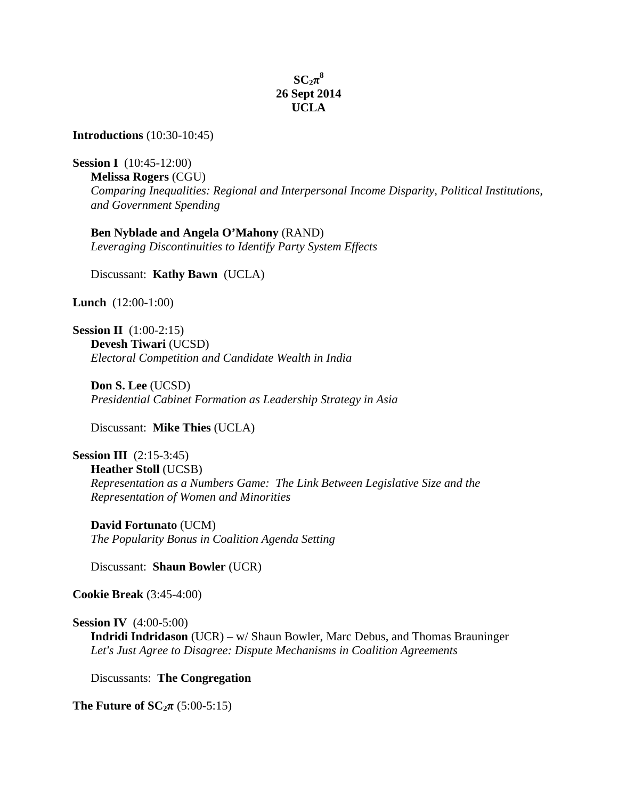## $SC_2\pi^8$ **26 Sept 2014 UCLA**

**Introductions** (10:30-10:45)

**Session I** (10:45-12:00)

**Melissa Rogers** (CGU) *Comparing Inequalities: Regional and Interpersonal Income Disparity, Political Institutions, and Government Spending*

**Ben Nyblade and Angela O'Mahony** (RAND) *Leveraging Discontinuities to Identify Party System Effects*

Discussant: **Kathy Bawn** (UCLA)

**Lunch** (12:00-1:00)

**Session II** (1:00-2:15) **Devesh Tiwari** (UCSD) *Electoral Competition and Candidate Wealth in India*

**Don S. Lee** (UCSD) *Presidential Cabinet Formation as Leadership Strategy in Asia*

Discussant: **Mike Thies** (UCLA)

**Session III** (2:15-3:45) **Heather Stoll** (UCSB) *Representation as a Numbers Game: The Link Between Legislative Size and the Representation of Women and Minorities*

**David Fortunato** (UCM) *The Popularity Bonus in Coalition Agenda Setting*

Discussant: **Shaun Bowler** (UCR)

**Cookie Break** (3:45-4:00)

**Session IV** (4:00-5:00)

**Indridi Indridason** (UCR) – w/ Shaun Bowler, Marc Debus, and Thomas Brauninger *Let's Just Agree to Disagree: Dispute Mechanisms in Coalition Agreements*

Discussants: **The Congregation**

**The Future of**  $SC_{2}\pi$  **(5:00-5:15)**